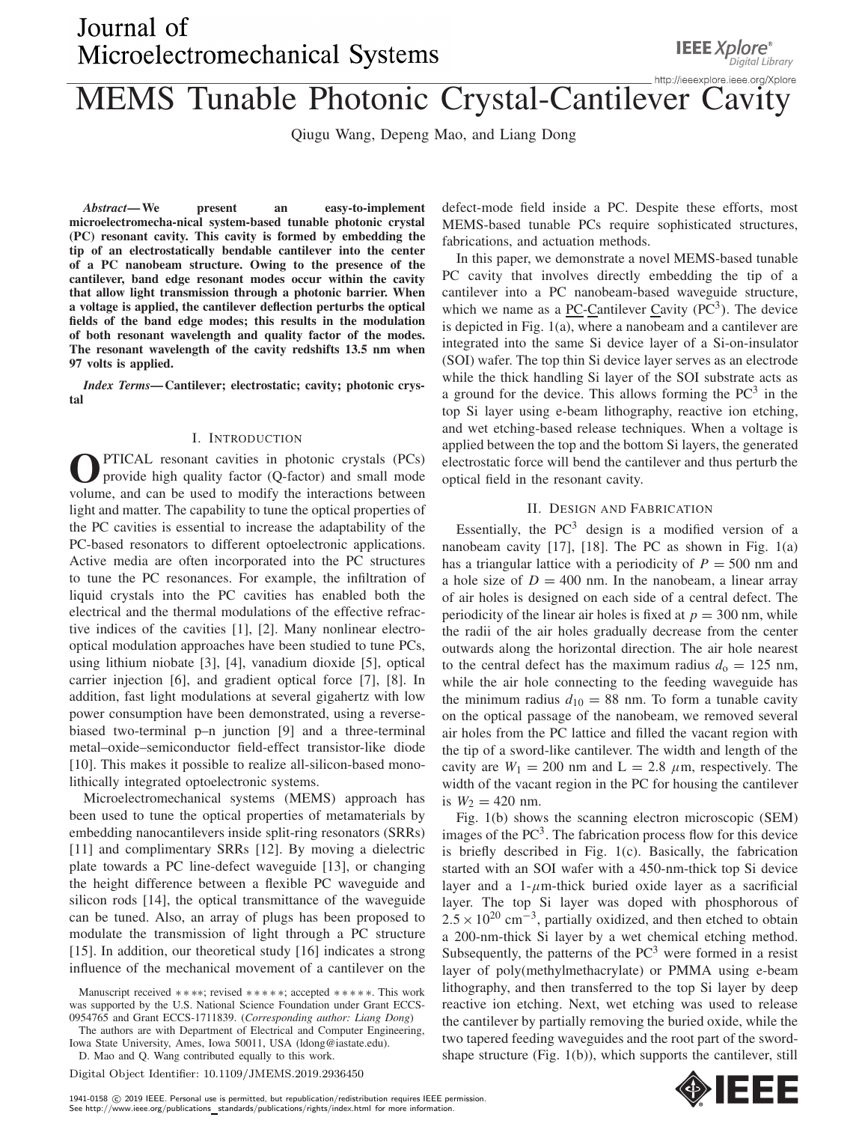# Journal of Microelectromechanical Systems

# **MEMS Tunable Photonic Crystal-Cantilever Cavity**

Qiugu Wang, Depeng Mao, and Liang Dong

*Abstract***—We present an easy-to-implement microelectromecha-nical system-based tunable photonic crystal (PC) resonant cavity. This cavity is formed by embedding the tip of an electrostatically bendable cantilever into the center of a PC nanobeam structure. Owing to the presence of the cantilever, band edge resonant modes occur within the cavity that allow light transmission through a photonic barrier. When a voltage is applied, the cantilever deflection perturbs the optical fields of the band edge modes; this results in the modulation of both resonant wavelength and quality factor of the modes. The resonant wavelength of the cavity redshifts 13.5 nm when 97 volts is applied.**

*Index Terms***— Cantilever; electrostatic; cavity; photonic crystal**

## I. INTRODUCTION

**O** PTICAL resonant cavities in photonic crystals (PCs) provide high quality factor (Q-factor) and small mode volume, and can be used to modify the interactions between PTICAL resonant cavities in photonic crystals (PCs) provide high quality factor (Q-factor) and small mode light and matter. The capability to tune the optical properties of the PC cavities is essential to increase the adaptability of the PC-based resonators to different optoelectronic applications. Active media are often incorporated into the PC structures to tune the PC resonances. For example, the infiltration of liquid crystals into the PC cavities has enabled both the electrical and the thermal modulations of the effective refractive indices of the cavities [1], [2]. Many nonlinear electrooptical modulation approaches have been studied to tune PCs, using lithium niobate [3], [4], vanadium dioxide [5], optical carrier injection [6], and gradient optical force [7], [8]. In addition, fast light modulations at several gigahertz with low power consumption have been demonstrated, using a reversebiased two-terminal p–n junction [9] and a three-terminal metal–oxide–semiconductor field-effect transistor-like diode [10]. This makes it possible to realize all-silicon-based monolithically integrated optoelectronic systems.

Microelectromechanical systems (MEMS) approach has been used to tune the optical properties of metamaterials by embedding nanocantilevers inside split-ring resonators (SRRs) [11] and complimentary SRRs [12]. By moving a dielectric plate towards a PC line-defect waveguide [13], or changing the height difference between a flexible PC waveguide and silicon rods [14], the optical transmittance of the waveguide can be tuned. Also, an array of plugs has been proposed to modulate the transmission of light through a PC structure [15]. In addition, our theoretical study [16] indicates a strong influence of the mechanical movement of a cantilever on the

Manuscript received ∗ ∗ ∗∗; revised ∗∗∗∗∗; accepted ∗∗∗∗∗. This work was supported by the U.S. National Science Foundation under Grant ECCS-0954765 and Grant ECCS-1711839. (*Corresponding author: Liang Dong*)

The authors are with Department of Electrical and Computer Engineering, Iowa State University, Ames, Iowa 50011, USA (ldong@iastate.edu).

D. Mao and Q. Wang contributed equally to this work.

Digital Object Identifier: 10.1109/JMEMS.2019.2936450

defect-mode field inside a PC. Despite these efforts, most MEMS-based tunable PCs require sophisticated structures, fabrications, and actuation methods.

In this paper, we demonstrate a novel MEMS-based tunable PC cavity that involves directly embedding the tip of a cantilever into a PC nanobeam-based waveguide structure, which we name as a **PC**-Cantilever Cavity  $(PC^3)$ . The device is depicted in Fig. 1(a), where a nanobeam and a cantilever are integrated into the same Si device layer of a Si-on-insulator (SOI) wafer. The top thin Si device layer serves as an electrode while the thick handling Si layer of the SOI substrate acts as a ground for the device. This allows forming the  $PC<sup>3</sup>$  in the top Si layer using e-beam lithography, reactive ion etching, and wet etching-based release techniques. When a voltage is applied between the top and the bottom Si layers, the generated electrostatic force will bend the cantilever and thus perturb the optical field in the resonant cavity.

## II. DESIGN AND FABRICATION

Essentially, the  $PC<sup>3</sup>$  design is a modified version of a nanobeam cavity [17], [18]. The PC as shown in Fig. 1(a) has a triangular lattice with a periodicity of  $P = 500$  nm and a hole size of  $D = 400$  nm. In the nanobeam, a linear array of air holes is designed on each side of a central defect. The periodicity of the linear air holes is fixed at  $p = 300$  nm, while the radii of the air holes gradually decrease from the center outwards along the horizontal direction. The air hole nearest to the central defect has the maximum radius  $d_0 = 125$  nm, while the air hole connecting to the feeding waveguide has the minimum radius  $d_{10} = 88$  nm. To form a tunable cavity on the optical passage of the nanobeam, we removed several air holes from the PC lattice and filled the vacant region with the tip of a sword-like cantilever. The width and length of the cavity are  $W_1 = 200$  nm and  $L = 2.8 \mu$ m, respectively. The width of the vacant region in the PC for housing the cantilever is  $W_2 = 420$  nm.

Fig. 1(b) shows the scanning electron microscopic (SEM) images of the  $PC<sup>3</sup>$ . The fabrication process flow for this device is briefly described in Fig. 1(c). Basically, the fabrication started with an SOI wafer with a 450-nm-thick top Si device layer and a 1- $\mu$ m-thick buried oxide layer as a sacrificial layer. The top Si layer was doped with phosphorous of  $2.5 \times 10^{20}$  cm<sup>-3</sup>, partially oxidized, and then etched to obtain a 200-nm-thick Si layer by a wet chemical etching method. Subsequently, the patterns of the  $PC<sup>3</sup>$  were formed in a resist layer of poly(methylmethacrylate) or PMMA using e-beam lithography, and then transferred to the top Si layer by deep reactive ion etching. Next, wet etching was used to release the cantilever by partially removing the buried oxide, while the two tapered feeding waveguides and the root part of the swordshape structure (Fig. 1(b)), which supports the cantilever, still

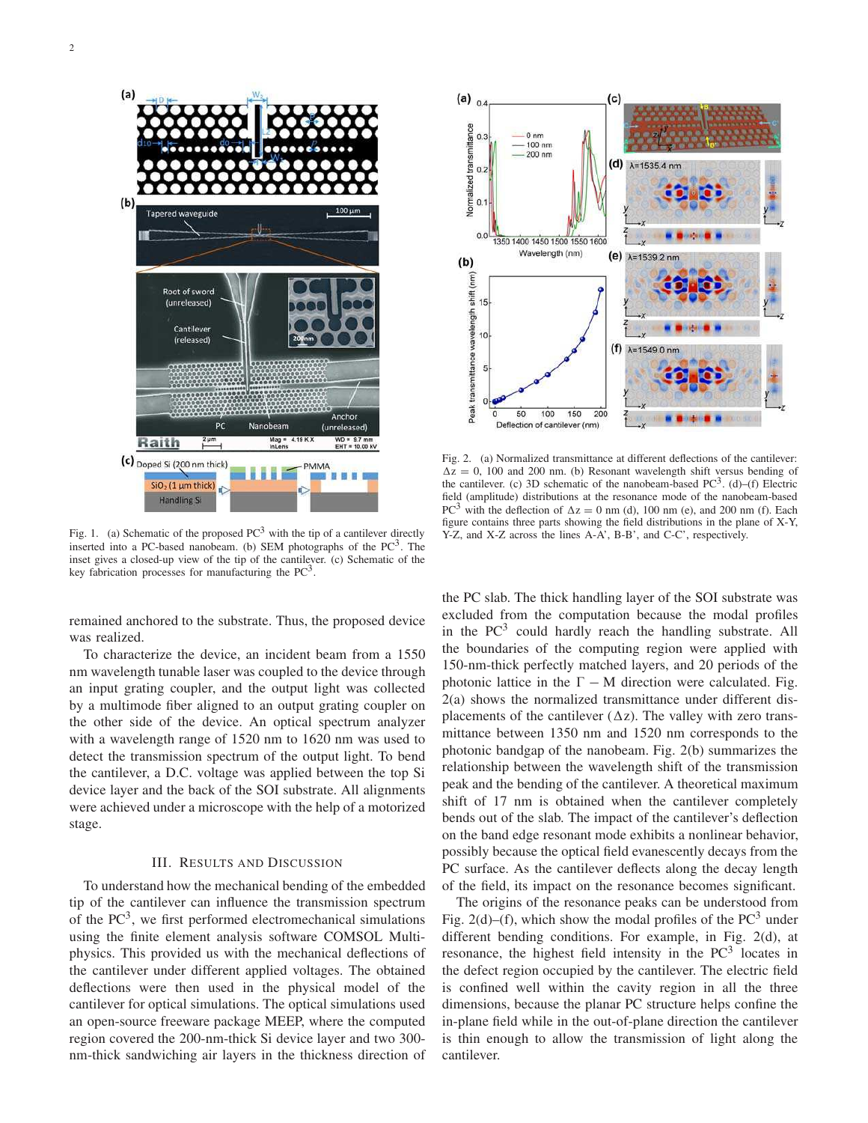$(a)$ 

 $(b)$ Root of sword (unreleased) Cantilever (released) Anchor PC (unreleased) Raith  $2 \mu m$ (c) Doped Si (200 nm thick) PMMA  $SiO<sub>2</sub>$  (1 µm thick) **Handling Si** 

Fig. 1. (a) Schematic of the proposed  $PC<sup>3</sup>$  with the tip of a cantilever directly inserted into a PC-based nanobeam. (b) SEM photographs of the  $PC<sup>3</sup>$ . The inset gives a closed-up view of the tip of the cantilever. (c) Schematic of the key fabrication processes for manufacturing the  $PC<sup>3</sup>$ .

remained anchored to the substrate. Thus, the proposed device was realized.

To characterize the device, an incident beam from a 1550 nm wavelength tunable laser was coupled to the device through an input grating coupler, and the output light was collected by a multimode fiber aligned to an output grating coupler on the other side of the device. An optical spectrum analyzer with a wavelength range of 1520 nm to 1620 nm was used to detect the transmission spectrum of the output light. To bend the cantilever, a D.C. voltage was applied between the top Si device layer and the back of the SOI substrate. All alignments were achieved under a microscope with the help of a motorized stage.

#### III. RESULTS AND DISCUSSION

To understand how the mechanical bending of the embedded tip of the cantilever can influence the transmission spectrum of the  $PC<sup>3</sup>$ , we first performed electromechanical simulations using the finite element analysis software COMSOL Multiphysics. This provided us with the mechanical deflections of the cantilever under different applied voltages. The obtained deflections were then used in the physical model of the cantilever for optical simulations. The optical simulations used an open-source freeware package MEEP, where the computed region covered the 200-nm-thick Si device layer and two 300 nm-thick sandwiching air layers in the thickness direction of



Fig. 2. (a) Normalized transmittance at different deflections of the cantilever:  $\Delta z = 0$ , 100 and 200 nm. (b) Resonant wavelength shift versus bending of the cantilever. (c) 3D schematic of the nanobeam-based  $PC<sup>3</sup>$ . (d)–(f) Electric field (amplitude) distributions at the resonance mode of the nanobeam-based PC<sup>3</sup> with the deflection of  $\Delta z = 0$  nm (d), 100 nm (e), and 200 nm (f). Each figure contains three parts showing the field distributions in the plane of X-Y, Y-Z, and X-Z across the lines A-A', B-B', and C-C', respectively.

the PC slab. The thick handling layer of the SOI substrate was excluded from the computation because the modal profiles in the  $PC<sup>3</sup>$  could hardly reach the handling substrate. All the boundaries of the computing region were applied with 150-nm-thick perfectly matched layers, and 20 periods of the photonic lattice in the  $\Gamma$  – M direction were calculated. Fig. 2(a) shows the normalized transmittance under different displacements of the cantilever  $(\Delta z)$ . The valley with zero transmittance between 1350 nm and 1520 nm corresponds to the photonic bandgap of the nanobeam. Fig. 2(b) summarizes the relationship between the wavelength shift of the transmission peak and the bending of the cantilever. A theoretical maximum shift of 17 nm is obtained when the cantilever completely bends out of the slab. The impact of the cantilever's deflection on the band edge resonant mode exhibits a nonlinear behavior, possibly because the optical field evanescently decays from the PC surface. As the cantilever deflects along the decay length of the field, its impact on the resonance becomes significant.

The origins of the resonance peaks can be understood from Fig. 2(d)–(f), which show the modal profiles of the  $PC<sup>3</sup>$  under different bending conditions. For example, in Fig. 2(d), at resonance, the highest field intensity in the  $PC<sup>3</sup>$  locates in the defect region occupied by the cantilever. The electric field is confined well within the cavity region in all the three dimensions, because the planar PC structure helps confine the in-plane field while in the out-of-plane direction the cantilever is thin enough to allow the transmission of light along the cantilever.